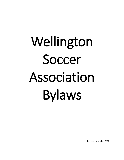# Wellington Soccer Association Bylaws

Revised November 2018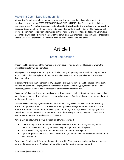## Rostering Committee Membership

A Rostering Committee shall be created to settle any disputes regarding player placement, not specifically covered under TEAM COMPOSITION AND PLAYER ELIGIBILITY. This committee shall be comprised of the Wellington Soccer Association President, Vice President, and at least two non-coaching Executive Board members when possible, to be appointed by the Executive Board. The Registrar will provide all pertinent registration information to the President and will attend all Rostering Committee meetings but will not be a voting member of the committee. Any member of this committee that is also a coach will recuse themselves when there are discussions about their own team.

# Article I

## Team Composition

A team shall be comprised of the number of players as specified by affiliated leagues to whom the official team roster will be submitted.

All players who are registered on or prior to the beginning of open registration will be assigned to the team on which they were placed during the preceding season unless a special request is made as described below.

In cases where more than one team in any age group exists, new players shall be placed on the team with the lowest number of players until the teams are equal. After that, players shall be placed on alternating teams, the one with the oldest day of last placement going first.

Placement of players will be gender and age specific whenever possible. If no team is available, a player may play up to two age levels within their appropriate gender. Coaches children are guaranteed a spot on the parent's team.

Coaches will not recruit players from other WSA teams. They will not be involved in the rostering process except where input is specifically requested by the Rostering Committee. WSA will accept players from other communities that have a youth soccer organization, however those players that come from communities with no organized soccer in the Wellington are will be given priority in the event there is an over-rostered situation on a team.

Players may be allowed to play up a maximum of two age levels if:

- A written request is forwarded to the Executive Board at the time of registration, with the reason for the request and signatures of the parent/guardian and the player.
- The move will not jeopardize the existence of a previously existing team.
- Age appropriate coach and up-level coach are in agreement and make a recommendation to the Executive Board.

Players may "double card" for more than one team within WSA, however, double carding will only be permitted if space permits. No player will be left out so that another can double card.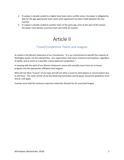- If a player is double carded to a higher-level team and a conflict arises, the player is obligated to play for the age appropriate team unless prior agreement has been made between the two coaches.
- If a player is double carded to another team of the same age, prior to the start of the season, the player must declare a primary team and notify all coaches.

# Article II

## Travel/Competitive Teams and Leagues

As stated in the Mission Statement of our Constitution, "It is our commitment to benefit the majority of Wellington youth, not the talented few. Our organization shall stress maximum participation, regardless of ability, and as much as is possible, evenly balanced competition."

In keeping with the spirit of our Mission Statement, teams will normally move from our in-house program into the appropriate affiliated travel leagues.

WSA will not allow "tryouts" of any type and will not allow a coach to shed players or recruit players due to skill level. The roster will be set by the Rostering Committee and all player movement guidelines from Article I still apply.

Coaches must hold the minimum required credentials dictated by the associated league.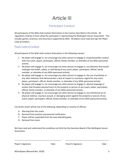# Article III

## Participant Conduct

All participants of the WSA shall conduct themselves in the manner described in this Article. All regulations shall be in force while the participant is representing the Wellington Soccer Association. This includes games, practices, and excursions supported by WSA. *All players must read and sign the Player Code of Conduct.*

#### Player Code of Conduct

All participants of the WSA shall conduct themselves in the following manner:

- 1. No player will engage in, nor encourage any other person to engage in unsportsmanlike conduct with any coach, player, participant, official, family member, or attendee of any WSA-sponsored activity.
- 2. No player will engage in, nor encourage any other person to engage in, any behavior that would endanger the health, safety, or well-being of any coach, player, participant, official, family member, or attendee of any WSA-sponsored activity.
- 3. No player will engage in, nor encourage any other person to engage in, the use of profanity or any other behavior that demonstrates a lack of respect or courteous regard for any coach, player, participant, official, family member, or attendee of any WSA-sponsored activity.
- 4. No player will engage in, nor encourage any other person to engage in, abusive language or actions that threaten physical harm to the property or person of any coach, player, participant, official, family member, or attendee of any WSA-sponsored activity.
- 5. No player will engage in, nor encourage any other person to engage in, any intentional act of physical violence, injurious assault, or damaging action against the property or person of any coach, player, participant, official, family member, or attendee of any WSA-sponsored activity.

Corrective action will be one of the following, depending on severity of offense:

- A. Warning from the coach.
- B. Removal from practice and parental notification.
- C. Player will be suspended from the next attended game.
- D. Removal from team.

We have read and understand the conditions set forth by the Executive Board of the Wellington Soccer Association.

\_\_\_\_\_\_\_\_\_\_\_\_\_\_\_\_\_\_\_\_\_\_\_\_\_\_\_\_\_\_\_\_\_\_\_\_\_\_\_\_\_\_ \_\_\_\_\_\_\_\_\_\_\_\_\_\_\_\_\_\_\_\_\_\_\_\_\_\_\_\_\_\_\_\_\_\_\_\_\_\_\_

Player's Signature **Date** Parent's Signature Date Parent's Signature Date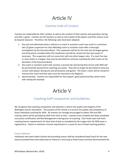# Article IV

## Coaches Code of Conduct

Coaches are responsible for their conduct as well as the conduct of their parents and spectators during and after a game. Coaches are the teachers as well as role models of the players and their actions must be beyond reproach. Therefore, the following rules have been adopted.

- 1. Any red card administered by a referee to a coach or assistant coach may result in a minimum two (2) game suspension for that offending coach or assistant coach after a thorough investigation by the Executive Board. This suspension will be for the next two (2) league games and all practices included within this timeframe and will be carried into the next season if necessary. This suspension will run concurrent with any other league rules. If a coach has two or more teams in a league, they may be permitted to continue coaching the other teams at the discretion of the Executive Board.
- 2. Any coach or assistant coach who receives a second red card during their tenure with WSA will be permanently banned from coaching any teams. They will no longer be permitted to have any contact with players during any and all practices and games. The team's roster will be revised to remove that coach and their pass must be returned to the Registrar.
- 3. Sportsmanship. Coaches are responsible for their players' good sportsmanship, which starts with setting the example.

# Article V

## Coaching Staff Composition and Guidelines

We recognize that coaching composition and selection is vital to the quality and integrity of the Wellington Soccer Association. The purpose of this Article is to ensure the quality and competency of those individuals coaching for WSA. All coaches are strongly encouraged to obtain CPR and AED training, which will be provided by WSA from time to time. Coaches must complete the State mandated concussion certification and Risk Management training prior to coaching. Each head coach will meet coaching license requirements for their level of play as mandated by the League that the WSA team is registered to. Failure to maintain a license requirement is a cause for loss of head coaching position.

#### Coach Selection

Individuals who were Head Coaches the preceding season shall be considered Head Coach for the new season provided they have expressed an interest in returning as Head Coach and have demonstrated the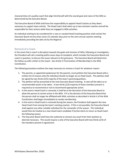characteristics of a quality coach that align him/herself with the overall goal and vision of the WSA as determined by the Executive Board.

The Executive Board of WSA shall have the responsibility to appoint Head Coaches as they deem necessary to support team activity. The Head Coach shall select up to two assistant coaches and will be responsible for their actions while they are engaged in WSA activities.

An individual wishing to be considered for a new or vacated Head Coaching position shall contact the Executive Board not less than seven (7) calendar days prior to the semi-annual coaches meeting immediately preceding the date set by the Registrar.

#### Removal of a Coach

In the event that a coach is disruptive towards the goals and missions of WSA, following an investigation, the President will call a meeting within seven days of complaint, which includes the Executive Board and coach in question, to discuss the issues relevant to the grievance. The Executive Board will determine the follow up with a letter to the Coach. See Article V (Termination of Membership) in the WSA Constitution.

The following procedure outlines the steps necessary to remove a Coach for whatever reason:

- 1. The parents, or appointed spokesman for the parents, must petition the Executive Board with a written list of reasons why the individual should no longer act as Head Coach. This petition shall be signed by two thirds (2/3) majority of the team's parents/guardians.
- 2. The petition will be presented at the next Executive Board meeting. A vote will be taken as to recommended action to be taken. A two thirds (2/3) majority of those members present is required as to recommend or not to recommend appropriate action.
- 3. In the event a Head Coach is removed, it shall be at the discretion of the Executive Board to allow the person to remain active in the WSA. If it is the decision of the Executive Board that the person shall no longer be affiliated with WSA, activities as described in Article V of the WSA Constitution shall begin immediately to revoke membership.
- 4. In the event a Head Coach is removed during the season, the President shall appoint the new Head Coach from among the team's existing coaches. If this is not possible, the Executive Board shall appoint any other suitable individual for the remainder of the season. This individual would then be treated as a new Head Coach candidate if he/she elects to return as Head Coach the following season.
- 5. The Executive Board shall have the authority to remove any coach from their position as deemed necessary. This would require a vote of the Executive Board with two thirds (2/3) of the members present in agreement.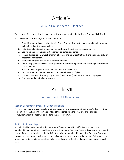# Article VI

## WSA In-House Soccer Guidelines

The In-House Director shall be in charge of setting up and running the In-House Program (Kick Start).

Responsibilities shall include, but are not limited to:

- 1. Recruiting and training coaches for Kick Start. Communicate with coaches and teach the games to be utilized during each practice.
- 2. Initiating and maintaining good communication with the incoming soccer families.
- 3. Setting up and organizing practice schedules, dates, and times.
- 4. Plan and organize a 6-8 week program of games and activities that teach the beginning skills of soccer in a fun fashion.
- 5. Set up and prepare playing fields for each practice.
- 6. Use lead up games and small sided games to minimize competition and encourage participation and enjoyment.
- 7. Strive to make players ready to move to the next level of play.
- 8. Hold informational parent meetings prior to each season of play.
- 9. End each season with a fun group activity (cookout, etc.) and present medals to players.
- 10. Purchase medals with board approval.

# Article VII

### Amendments & Miscellaneous

#### Section 1: Reimbursements of Coaches License

Travel teams require anyone coaching U7 and above to have appropriate training and/or license. Upon completion of the licensing course and filing of the license with the Treasurer and Registrar, reimbursement of the fees will be made to the coach by WSA.

#### Section 2: Scholarship

No child shall be denied membership because of financial hardship and/or inability to pay the membership fee. Application shall be made in writing to the Executive Board indicating the nature and extent of the hardship, which is the basis for the waiver of membership fees. The Executive Board shall consider and vote upon applications on an individual basis at the next regular meeting following receipt of said applications and may vote for a full or partial waiver of fees based upon circumstances of each case.